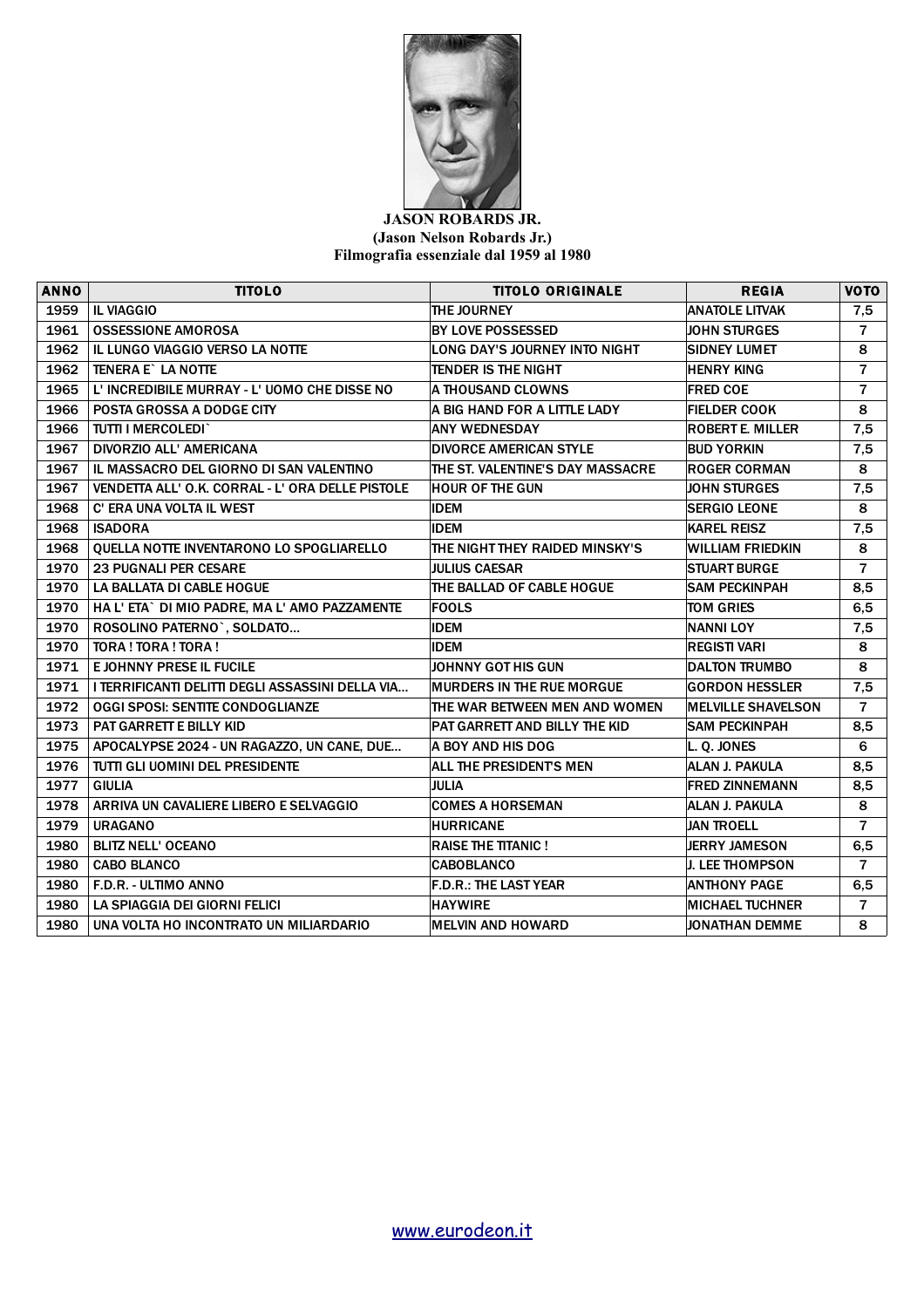

## **JASON ROBARDS JR. (Jason Nelson Robards Jr.) Filmografia essenziale dal 1959 al 1980**

| <b>ANNO</b> | <b>TITOLO</b>                                    | <b>TITOLO ORIGINALE</b>          | <b>REGIA</b>              | <b>VOTO</b>    |
|-------------|--------------------------------------------------|----------------------------------|---------------------------|----------------|
| 1959        | <b>IL VIAGGIO</b>                                | THE JOURNEY                      | <b>ANATOLE LITVAK</b>     | 7,5            |
| 1961        | <b>OSSESSIONE AMOROSA</b>                        | BY LOVE POSSESSED                | <b>JOHN STURGES</b>       | $\overline{7}$ |
| 1962        | IL LUNGO VIAGGIO VERSO LA NOTTE                  | LONG DAY'S JOURNEY INTO NIGHT    | <b>SIDNEY LUMET</b>       | 8              |
| 1962        | <b>TENERA E` LA NOTTE</b>                        | <b>TENDER IS THE NIGHT</b>       | <b>HENRY KING</b>         | $\overline{7}$ |
| 1965        | L' INCREDIBILE MURRAY - L' UOMO CHE DISSE NO     | A THOUSAND CLOWNS                | <b>FRED COE</b>           | $\overline{7}$ |
| 1966        | POSTA GROSSA A DODGE CITY                        | A BIG HAND FOR A LITTLE LADY     | <b>FIELDER COOK</b>       | 8              |
| 1966        | TUTTI I MERCOLEDI`                               | <b>ANY WEDNESDAY</b>             | <b>ROBERT E. MILLER</b>   | 7,5            |
| 1967        | DIVORZIO ALL' AMERICANA                          | <b>DIVORCE AMERICAN STYLE</b>    | <b>BUD YORKIN</b>         | 7,5            |
| 1967        | IL MASSACRO DEL GIORNO DI SAN VALENTINO          | THE ST. VALENTINE'S DAY MASSACRE | <b>ROGER CORMAN</b>       | 8              |
| 1967        | VENDETTA ALL' O.K. CORRAL - L' ORA DELLE PISTOLE | <b>HOUR OF THE GUN</b>           | <b>JOHN STURGES</b>       | 7,5            |
| 1968        | <b>C' ERA UNA VOLTA IL WEST</b>                  | <b>IDEM</b>                      | <b>SERGIO LEONE</b>       | 8              |
| 1968        | <b>ISADORA</b>                                   | <b>IDEM</b>                      | <b>KAREL REISZ</b>        | 7,5            |
| 1968        | QUELLA NOTTE INVENTARONO LO SPOGLIARELLO         | THE NIGHT THEY RAIDED MINSKY'S   | <b>WILLIAM FRIEDKIN</b>   | 8              |
| 1970        | <b>23 PUGNALI PER CESARE</b>                     | <b>JULIUS CAESAR</b>             | <b>STUART BURGE</b>       | $\overline{7}$ |
| 1970        | LA BALLATA DI CABLE HOGUE                        | THE BALLAD OF CABLE HOGUE        | <b>SAM PECKINPAH</b>      | 8,5            |
| 1970        | HA L'ETA` DI MIO PADRE, MA L'AMO PAZZAMENTE      | <b>FOOLS</b>                     | TOM GRIES                 | 6,5            |
| 1970        | ROSOLINO PATERNO`, SOLDATO                       | <b>IDEM</b>                      | <b>NANNI LOY</b>          | 7,5            |
| 1970        | TORA ! TORA ! TORA !                             | <b>IDEM</b>                      | <b>REGISTI VARI</b>       | 8              |
| 1971        | <b>EJOHNNY PRESE IL FUCILE</b>                   | JOHNNY GOT HIS GUN               | <b>DALTON TRUMBO</b>      | 8              |
| 1971        | I TERRIFICANTI DELITTI DEGLI ASSASSINI DELLA VIA | <b>MURDERS IN THE RUE MORGUE</b> | <b>GORDON HESSLER</b>     | 7,5            |
| 1972        | <b>OGGI SPOSI: SENTITE CONDOGLIANZE</b>          | THE WAR BETWEEN MEN AND WOMEN    | <b>MELVILLE SHAVELSON</b> | $\overline{7}$ |
| 1973        | <b>PAT GARRETT E BILLY KID</b>                   | PAT GARRETT AND BILLY THE KID    | <b>SAM PECKINPAH</b>      | 8,5            |
| 1975        | APOCALYPSE 2024 - UN RAGAZZO, UN CANE, DUE       | A BOY AND HIS DOG                | L. Q. JONES               | 6              |
| 1976        | TUTTI GLI UOMINI DEL PRESIDENTE                  | ALL THE PRESIDENTS MEN           | <b>ALAN J. PAKULA</b>     | 8,5            |
| 1977        | <b>GIULIA</b>                                    | <b>JULIA</b>                     | <b>FRED ZINNEMANN</b>     | 8,5            |
| 1978        | ARRIVA UN CAVALIERE LIBERO E SELVAGGIO           | <b>COMES A HORSEMAN</b>          | <b>ALAN J. PAKULA</b>     | 8              |
| 1979        | <b>URAGANO</b>                                   | <b>HURRICANE</b>                 | <b>JAN TROELL</b>         | $\overline{7}$ |
| 1980        | <b>BLITZ NELL' OCEANO</b>                        | <b>RAISE THE TITANIC!</b>        | <b>JERRY JAMESON</b>      | 6,5            |
| 1980        | <b>CABO BLANCO</b>                               | <b>CABOBLANCO</b>                | <b>J. LEE THOMPSON</b>    | $\overline{7}$ |
| 1980        | F.D.R. - ULTIMO ANNO                             | <b>F.D.R.: THE LAST YEAR</b>     | <b>ANTHONY PAGE</b>       | 6,5            |
| 1980        | LA SPIAGGIA DEI GIORNI FELICI                    | <b>HAYWIRE</b>                   | <b>MICHAEL TUCHNER</b>    | $\overline{7}$ |
| 1980        | UNA VOLTA HO INCONTRATO UN MILIARDARIO           | <b>MELVIN AND HOWARD</b>         | <b>JONATHAN DEMME</b>     | 8              |